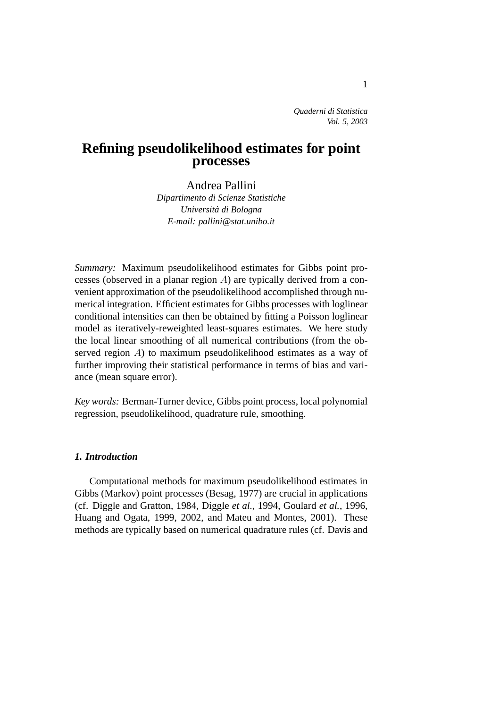*Quaderni di Statistica Vol. 5, 2003*

# **Refining pseudolikelihood estimates for point processes**

Andrea Pallini

*Dipartimento di Scienze Statistiche Universita di Bologna ` E-mail: pallini@stat.unibo.it*

*Summary:* Maximum pseudolikelihood estimates for Gibbs point processes (observed in a planar region A) are typically derived from a convenient approximation of the pseudolikelihood accomplished through numerical integration. Efficient estimates for Gibbs processes with loglinear conditional intensities can then be obtained by fitting a Poisson loglinear model as iteratively-reweighted least-squares estimates. We here study the local linear smoothing of all numerical contributions (from the observed region A) to maximum pseudolikelihood estimates as a way of further improving their statistical performance in terms of bias and variance (mean square error).

*Key words:* Berman-Turner device, Gibbs point process, local polynomial regression, pseudolikelihood, quadrature rule, smoothing.

## *1. Introduction*

Computational methods for maximum pseudolikelihood estimates in Gibbs (Markov) point processes (Besag, 1977) are crucial in applications (cf. Diggle and Gratton, 1984, Diggle *et al.*, 1994, Goulard *et al.*, 1996, Huang and Ogata, 1999, 2002, and Mateu and Montes, 2001). These methods are typically based on numerical quadrature rules (cf. Davis and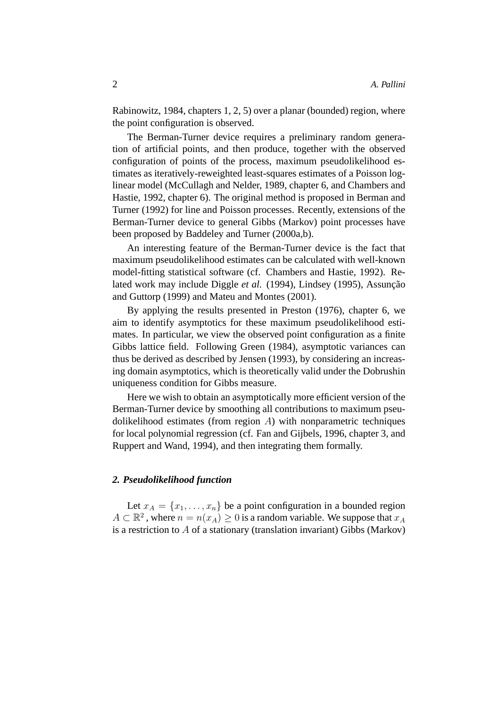Rabinowitz, 1984, chapters 1, 2, 5) over a planar (bounded) region, where the point configuration is observed.

The Berman-Turner device requires a preliminary random generation of artificial points, and then produce, together with the observed configuration of points of the process, maximum pseudolikelihood estimates as iteratively-reweighted least-squares estimates of a Poisson loglinear model (McCullagh and Nelder, 1989, chapter 6, and Chambers and Hastie, 1992, chapter 6). The original method is proposed in Berman and Turner (1992) for line and Poisson processes. Recently, extensions of the Berman-Turner device to general Gibbs (Markov) point processes have been proposed by Baddeley and Turner (2000a,b).

An interesting feature of the Berman-Turner device is the fact that maximum pseudolikelihood estimates can be calculated with well-known model-fitting statistical software (cf. Chambers and Hastie, 1992). Related work may include Diggle *et al.* (1994), Lindsey (1995), Assunção and Guttorp (1999) and Mateu and Montes (2001).

By applying the results presented in Preston (1976), chapter 6, we aim to identify asymptotics for these maximum pseudolikelihood estimates. In particular, we view the observed point configuration as a finite Gibbs lattice field. Following Green (1984), asymptotic variances can thus be derived as described by Jensen (1993), by considering an increasing domain asymptotics, which is theoretically valid under the Dobrushin uniqueness condition for Gibbs measure.

Here we wish to obtain an asymptotically more efficient version of the Berman-Turner device by smoothing all contributions to maximum pseudolikelihood estimates (from region  $A$ ) with nonparametric techniques for local polynomial regression (cf. Fan and Gijbels, 1996, chapter 3, and Ruppert and Wand, 1994), and then integrating them formally.

## *2. Pseudolikelihood function*

Let  $x_A = \{x_1, \ldots, x_n\}$  be a point configuration in a bounded region  $A \subset \mathbb{R}^2$ , where  $n = n(x_A) \geq 0$  is a random variable. We suppose that  $x_A$ is a restriction to A of a stationary (translation invariant) Gibbs (Markov)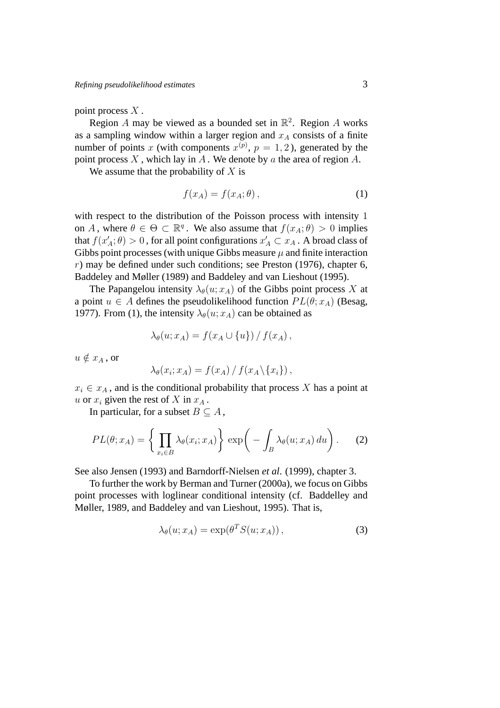point process  $X$ .

Region A may be viewed as a bounded set in  $\mathbb{R}^2$ . Region A works as a sampling window within a larger region and  $x_A$  consists of a finite number of points x (with components  $x^{(p)}$ ,  $p = 1, 2$ ), generated by the point process  $X$ , which lay in  $A$ . We denote by  $a$  the area of region  $A$ .

We assume that the probability of  $X$  is

$$
f(x_A) = f(x_A; \theta), \tag{1}
$$

with respect to the distribution of the Poisson process with intensity 1 on A, where  $\theta \in \Theta \subset \mathbb{R}^q$ . We also assume that  $f(x_A; \theta) > 0$  implies that  $f(x'_A; \theta) > 0$ , for all point configurations  $x'_A \subset x_A$ . A broad class of Gibbs point processes (with unique Gibbs measure  $\mu$  and finite interaction  $r$ ) may be defined under such conditions; see Preston (1976), chapter 6, Baddeley and Møller (1989) and Baddeley and van Lieshout (1995).

The Papangelou intensity  $\lambda_{\theta}(u; x_A)$  of the Gibbs point process X at a point  $u \in A$  defines the pseudolikelihood function  $PL(\theta; x_A)$  (Besag, 1977). From (1), the intensity  $\lambda_{\theta}(u; x_A)$  can be obtained as

$$
\lambda_{\theta}(u; x_A) = f(x_A \cup \{u\}) / f(x_A),
$$

 $u \notin x_A$ , or

$$
\lambda_{\theta}(x_i; x_A) = f(x_A) / f(x_A \setminus \{x_i\}),
$$

 $x_i \in x_A$ , and is the conditional probability that process X has a point at u or  $x_i$  given the rest of X in  $x_A$ .

In particular, for a subset  $B \subseteq A$ ,

$$
PL(\theta; x_A) = \left\{ \prod_{x_i \in B} \lambda_{\theta}(x_i; x_A) \right\} \exp\left(-\int_B \lambda_{\theta}(u; x_A) du\right). \tag{2}
$$

See also Jensen (1993) and Barndorff-Nielsen *et al*. (1999), chapter 3.

To further the work by Berman and Turner (2000a), we focus on Gibbs point processes with loglinear conditional intensity (cf. Baddelley and Møller, 1989, and Baddeley and van Lieshout, 1995). That is,

$$
\lambda_{\theta}(u; x_A) = \exp(\theta^T S(u; x_A)), \qquad (3)
$$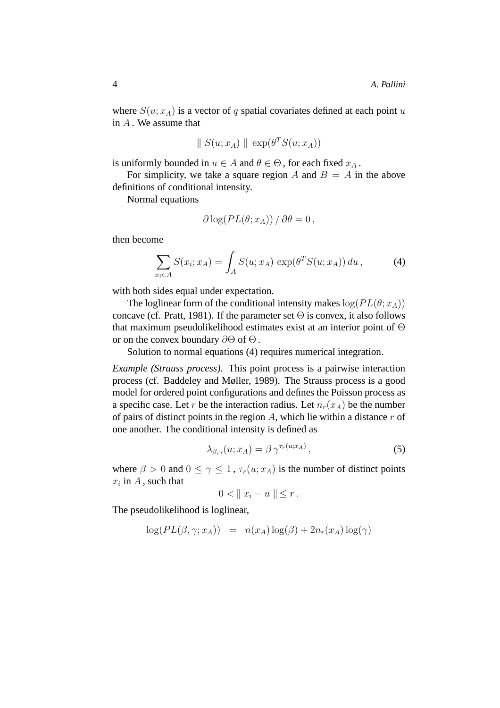where  $S(u; x_A)$  is a vector of q spatial covariates defined at each point u in  $A$ . We assume that

$$
\parallel S(u; x_A) \parallel \exp(\theta^T S(u; x_A))
$$

is uniformly bounded in  $u \in A$  and  $\theta \in \Theta$ , for each fixed  $x_A$ .

For simplicity, we take a square region A and  $B = A$  in the above definitions of conditional intensity.

Normal equations

$$
\partial \log (PL(\theta; x_A)) / \partial \theta = 0,
$$

then become

$$
\sum_{x_i \in A} S(x_i; x_A) = \int_A S(u; x_A) \, \exp(\theta^T S(u; x_A)) \, du \,, \tag{4}
$$

with both sides equal under expectation.

The loglinear form of the conditional intensity makes  $log(PL(\theta; x_A))$ concave (cf. Pratt, 1981). If the parameter set  $\Theta$  is convex, it also follows that maximum pseudolikelihood estimates exist at an interior point of Θ or on the convex boundary  $\partial\Theta$  of  $\Theta$ .

Solution to normal equations (4) requires numerical integration.

*Example (Strauss process)*. This point process is a pairwise interaction process (cf. Baddeley and Møller, 1989). The Strauss process is a good model for ordered point configurations and defines the Poisson process as a specific case. Let r be the interaction radius. Let  $n_r(x_A)$  be the number of pairs of distinct points in the region  $A$ , which lie within a distance  $r$  of one another. The conditional intensity is defined as

$$
\lambda_{\beta,\gamma}(u;x_A) = \beta \,\gamma^{\tau_r(u;x_A)},\tag{5}
$$

where  $\beta > 0$  and  $0 \le \gamma \le 1$ ,  $\tau_r(u; x_A)$  is the number of distinct points  $x_i$  in A, such that

$$
0 < \|x_i - u\| \le r \, .
$$

The pseudolikelihood is loglinear,

$$
\log(PL(\beta, \gamma; x_A)) = n(x_A) \log(\beta) + 2n_r(x_A) \log(\gamma)
$$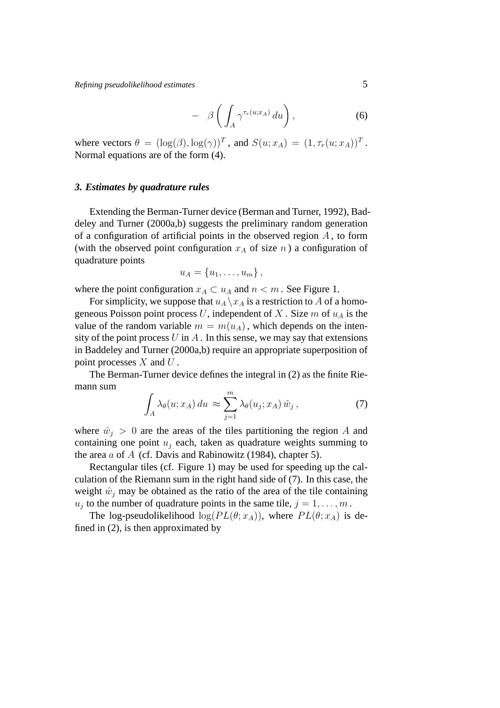*Refining pseudolikelihood estimates* 5

$$
- \beta \left( \int_A \gamma^{\tau_r(u;x_A)} du \right), \tag{6}
$$

where vectors  $\theta = (\log(\beta), \log(\gamma))^T$ , and  $S(u; x_A) = (1, \tau_r(u; x_A))^T$ . Normal equations are of the form (4).

#### *3. Estimates by quadrature rules*

Extending the Berman-Turner device (Berman and Turner, 1992), Baddeley and Turner (2000a,b) suggests the preliminary random generation of a configuration of artificial points in the observed region  $A$ , to form (with the observed point configuration  $x_A$  of size n) a configuration of quadrature points

$$
u_A = \{u_1, \ldots, u_m\},\,
$$

where the point configuration  $x_A \subset u_A$  and  $n \leq m$ . See Figure 1.

For simplicity, we suppose that  $u_A \backslash x_A$  is a restriction to A of a homogeneous Poisson point process U, independent of X. Size m of  $u<sub>A</sub>$  is the value of the random variable  $m = m(u_A)$ , which depends on the intensity of the point process  $U$  in  $A$ . In this sense, we may say that extensions in Baddeley and Turner (2000a,b) require an appropriate superposition of point processes  $X$  and  $U$ .

The Berman-Turner device defines the integral in (2) as the finite Riemann sum

$$
\int_{A} \lambda_{\theta}(u; x_A) du \approx \sum_{j=1}^{m} \lambda_{\theta}(u_j; x_A) \hat{w}_j , \qquad (7)
$$

where  $\hat{w}_i > 0$  are the areas of the tiles partitioning the region A and containing one point  $u_i$  each, taken as quadrature weights summing to the area  $a$  of  $A$  (cf. Davis and Rabinowitz (1984), chapter 5).

Rectangular tiles (cf. Figure 1) may be used for speeding up the calculation of the Riemann sum in the right hand side of (7). In this case, the weight  $\hat{w}_i$  may be obtained as the ratio of the area of the tile containing  $u_j$  to the number of quadrature points in the same tile,  $j = 1, \ldots, m$ .

The log-pseudolikelihood  $log(PL(\theta; x_A))$ , where  $PL(\theta; x_A)$  is defined in (2), is then approximated by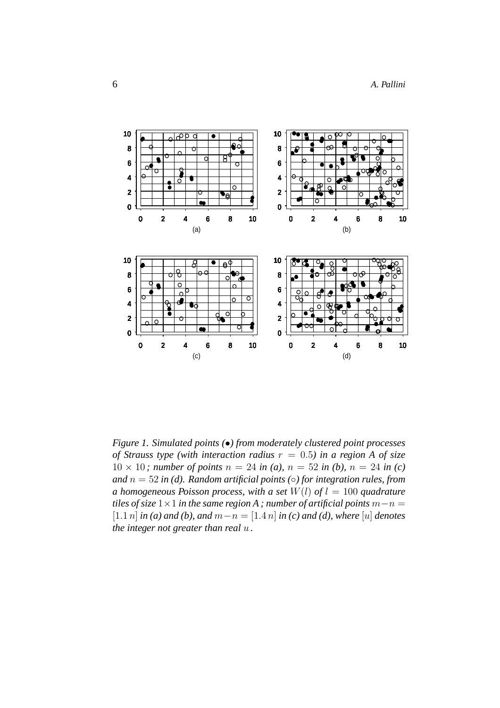

*Figure 1. Simulated points (*•*) from moderately clustered point processes of Strauss type (with interaction radius*  $r = 0.5$ ) in a region A of size 10 × 10; number of points  $n = 24$  in (a),  $n = 52$  in (b),  $n = 24$  in (c) *and* n = 52 *in (d). Random artificial points (*◦*) for integration rules, from a homogeneous Poisson process, with a set*  $W(l)$  *of*  $l = 100$  *quadrature tiles of size*  $1 \times 1$  *in the same region A ; number of artificial points*  $m - n =$ [1.1 *n*] *in* (*a*) *and* (*b*), *and*  $m − n = [1.4 n]$  *in* (*c*) *and* (*d*), *where* [*u*] *denotes the integer not greater than real* u *.*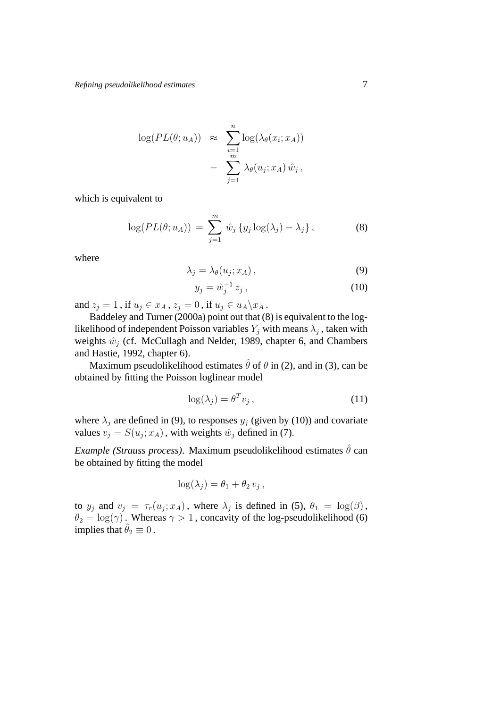$$
\log(PL(\theta; u_A)) \approx \sum_{i=1}^n \log(\lambda_{\theta}(x_i; x_A)) - \sum_{j=1}^m \lambda_{\theta}(u_j; x_A) \hat{w}_j,
$$

which is equivalent to

$$
\log(PL(\theta; u_A)) = \sum_{j=1}^{m} \hat{w}_j \{y_j \log(\lambda_j) - \lambda_j\}, \tag{8}
$$

where

$$
\lambda_j = \lambda_\theta(u_j; x_A), \tag{9}
$$

$$
y_j = \hat{w}_j^{-1} z_j, \tag{10}
$$

and  $z_i = 1$ , if  $u_i \in x_A$ ,  $z_i = 0$ , if  $u_i \in u_A \backslash x_A$ .

Baddeley and Turner (2000a) point out that (8) is equivalent to the loglikelihood of independent Poisson variables  $Y_j$  with means  $\lambda_j$ , taken with weights  $\hat{w}_j$  (cf. McCullagh and Nelder, 1989, chapter 6, and Chambers and Hastie, 1992, chapter 6).

Maximum pseudolikelihood estimates  $\hat{\theta}$  of  $\theta$  in (2), and in (3), can be obtained by fitting the Poisson loglinear model

$$
\log(\lambda_j) = \theta^T v_j \,, \tag{11}
$$

where  $\lambda_i$  are defined in (9), to responses  $y_i$  (given by (10)) and covariate values  $v_j = S(u_j; x_A)$ , with weights  $\hat{w}_j$  defined in (7).

*Example (Strauss process)*. Maximum pseudolikelihood estimates  $\hat{\theta}$  can be obtained by fitting the model

$$
\log(\lambda_j) = \theta_1 + \theta_2 v_j,
$$

to  $y_j$  and  $v_j = \tau_r(u_j; x_A)$ , where  $\lambda_j$  is defined in (5),  $\theta_1 = \log(\beta)$ ,  $\theta_2 = \log(\gamma)$ . Whereas  $\gamma > 1$ , concavity of the log-pseudolikelihood (6) implies that  $\hat{\theta}_2 \equiv 0$ .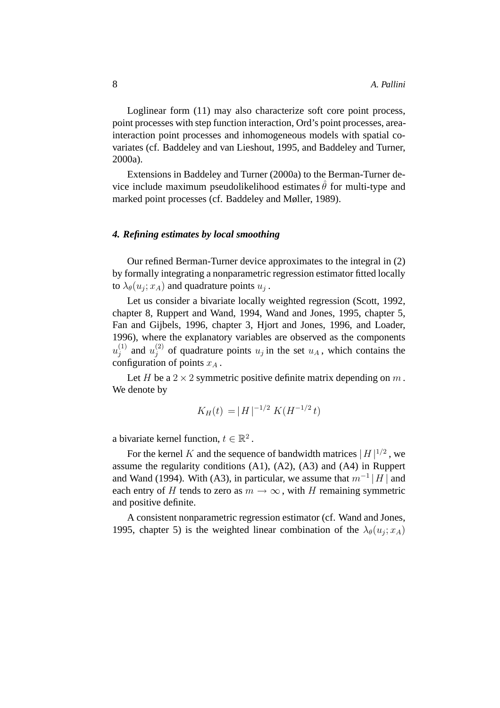Loglinear form (11) may also characterize soft core point process, point processes with step function interaction, Ord's point processes, areainteraction point processes and inhomogeneous models with spatial covariates (cf. Baddeley and van Lieshout, 1995, and Baddeley and Turner, 2000a).

Extensions in Baddeley and Turner (2000a) to the Berman-Turner device include maximum pseudolikelihood estimates  $\theta$  for multi-type and marked point processes (cf. Baddeley and Møller, 1989).

## *4. Refining estimates by local smoothing*

Our refined Berman-Turner device approximates to the integral in (2) by formally integrating a nonparametric regression estimator fitted locally to  $\lambda_{\theta}(u_j; x_A)$  and quadrature points  $u_j$ .

Let us consider a bivariate locally weighted regression (Scott, 1992, chapter 8, Ruppert and Wand, 1994, Wand and Jones, 1995, chapter 5, Fan and Gijbels, 1996, chapter 3, Hjort and Jones, 1996, and Loader, 1996), where the explanatory variables are observed as the components  $u_i^{(1)}$  $j^{(1)}$  and  $u_j^{(2)}$  $j^{(2)}$  of quadrature points  $u_j$  in the set  $u_A$ , which contains the configuration of points  $x_A$ .

Let H be a  $2 \times 2$  symmetric positive definite matrix depending on m. We denote by

$$
K_H(t) = |H|^{-1/2} K(H^{-1/2} t)
$$

a bivariate kernel function,  $t \in \mathbb{R}^2$ .

For the kernel K and the sequence of bandwidth matrices  $|H|^{1/2}$ , we assume the regularity conditions (A1), (A2), (A3) and (A4) in Ruppert and Wand (1994). With (A3), in particular, we assume that  $m^{-1}$ | H | and each entry of H tends to zero as  $m \to \infty$ , with H remaining symmetric and positive definite.

A consistent nonparametric regression estimator (cf. Wand and Jones, 1995, chapter 5) is the weighted linear combination of the  $\lambda_{\theta}(u_j; x_A)$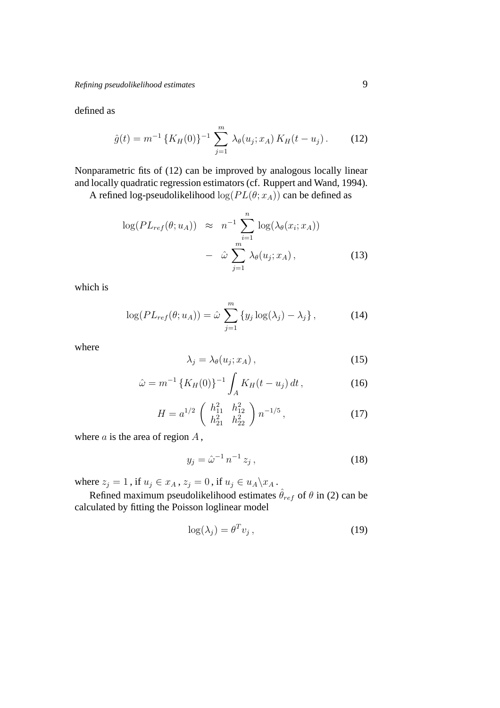defined as

$$
\hat{g}(t) = m^{-1} \left\{ K_H(0) \right\}^{-1} \sum_{j=1}^{m} \lambda_{\theta}(u_j; x_A) K_H(t - u_j). \tag{12}
$$

Nonparametric fits of (12) can be improved by analogous locally linear and locally quadratic regression estimators (cf. Ruppert and Wand, 1994).

A refined log-pseudolikelihood  $log(PL(\theta; x_A))$  can be defined as

$$
\log(PL_{ref}(\theta; u_A)) \approx n^{-1} \sum_{i=1}^n \log(\lambda_{\theta}(x_i; x_A)) - \hat{\omega} \sum_{j=1}^m \lambda_{\theta}(u_j; x_A), \qquad (13)
$$

which is

$$
\log(PL_{ref}(\theta; u_A)) = \hat{\omega} \sum_{j=1}^{m} \{y_j \log(\lambda_j) - \lambda_j\}, \tag{14}
$$

where

$$
\lambda_j = \lambda_\theta(u_j; x_A), \tag{15}
$$

$$
\hat{\omega} = m^{-1} \left\{ K_H(0) \right\}^{-1} \int_A K_H(t - u_j) dt , \qquad (16)
$$

$$
H = a^{1/2} \begin{pmatrix} h_{11}^2 & h_{12}^2 \\ h_{21}^2 & h_{22}^2 \end{pmatrix} n^{-1/5},
$$
 (17)

where  $a$  is the area of region  $A$ ,

$$
y_j = \hat{\omega}^{-1} n^{-1} z_j, \qquad (18)
$$

where  $z_j = 1$ , if  $u_j \in x_A$ ,  $z_j = 0$ , if  $u_j \in u_A \backslash x_A$ .

Refined maximum pseudolikelihood estimates  $\hat{\theta}_{ref}$  of  $\theta$  in (2) can be calculated by fitting the Poisson loglinear model

$$
\log(\lambda_j) = \theta^T v_j \,, \tag{19}
$$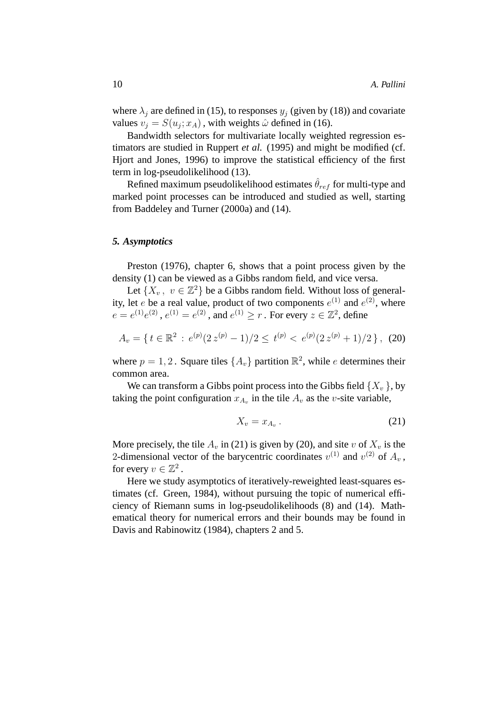where  $\lambda_i$  are defined in (15), to responses  $y_i$  (given by (18)) and covariate values  $v_j = S(u_j; x_A)$ , with weights  $\hat{\omega}$  defined in (16).

Bandwidth selectors for multivariate locally weighted regression estimators are studied in Ruppert *et al.* (1995) and might be modified (cf. Hjort and Jones, 1996) to improve the statistical efficiency of the first term in log-pseudolikelihood (13).

Refined maximum pseudolikelihood estimates  $\theta_{ref}$  for multi-type and marked point processes can be introduced and studied as well, starting from Baddeley and Turner (2000a) and (14).

#### *5. Asymptotics*

Preston (1976), chapter 6, shows that a point process given by the density (1) can be viewed as a Gibbs random field, and vice versa.

Let  $\{X_v, v \in \mathbb{Z}^2\}$  be a Gibbs random field. Without loss of generality, let *e* be a real value, product of two components  $e^{(1)}$  and  $e^{(2)}$ , where  $e = e^{(1)}e^{(2)}$ ,  $e^{(1)} = e^{(2)}$ , and  $e^{(1)} \ge r$ . For every  $z \in \mathbb{Z}^2$ , define

$$
A_v = \{ \, t \in \mathbb{R}^2 \, : \, e^{(p)}(2\,z^{(p)} - 1)/2 \leq \, t^{(p)} < \, e^{(p)}(2\,z^{(p)} + 1)/2 \, \}, \tag{20}
$$

where  $p = 1, 2$ . Square tiles  $\{A_v\}$  partition  $\mathbb{R}^2$ , while e determines their common area.

We can transform a Gibbs point process into the Gibbs field  $\{X_v\}$ , by taking the point configuration  $x_{A_v}$  in the tile  $A_v$  as the v-site variable,

$$
X_v = x_{A_v} \,. \tag{21}
$$

More precisely, the tile  $A_v$  in (21) is given by (20), and site v of  $X_v$  is the 2-dimensional vector of the barycentric coordinates  $v^{(1)}$  and  $v^{(2)}$  of  $A_v$ , for every  $v \in \mathbb{Z}^2$ .

Here we study asymptotics of iteratively-reweighted least-squares estimates (cf. Green, 1984), without pursuing the topic of numerical efficiency of Riemann sums in log-pseudolikelihoods (8) and (14). Mathematical theory for numerical errors and their bounds may be found in Davis and Rabinowitz (1984), chapters 2 and 5.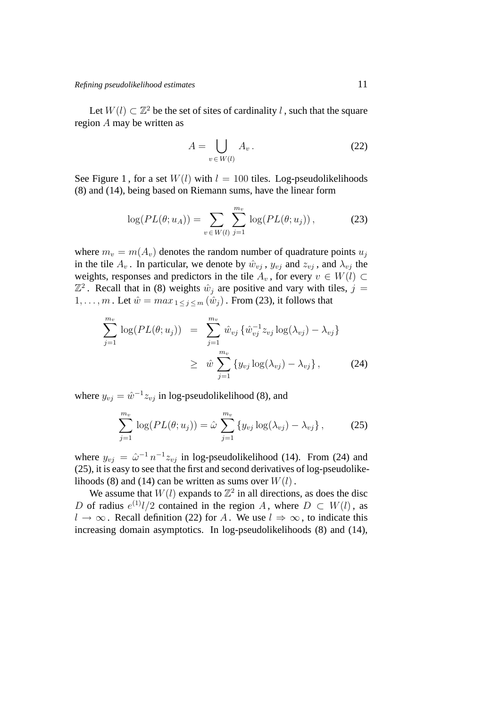Let  $W(l) \subset \mathbb{Z}^2$  be the set of sites of cardinality l, such that the square region A may be written as

$$
A = \bigcup_{v \in W(l)} A_v.
$$
 (22)

See Figure 1, for a set  $W(l)$  with  $l = 100$  tiles. Log-pseudolikelihoods (8) and (14), being based on Riemann sums, have the linear form

$$
\log(PL(\theta; u_A)) = \sum_{v \in W(l)} \sum_{j=1}^{m_v} \log(PL(\theta; u_j)), \tag{23}
$$

where  $m_v = m(A_v)$  denotes the random number of quadrature points  $u_i$ in the tile  $A_v$ . In particular, we denote by  $\hat{w}_{vi}$ ,  $y_{vi}$  and  $z_{vi}$ , and  $\lambda_{vi}$  the weights, responses and predictors in the tile  $A_v$ , for every  $v \in W(l) \subset$  $\mathbb{Z}^2$ . Recall that in (8) weights  $\hat{w}_j$  are positive and vary with tiles,  $j =$  $1, \ldots, m$ . Let  $\hat{w} = max_{1 \leq j \leq m} (\hat{w}_j)$ . From (23), it follows that

$$
\sum_{j=1}^{m_v} \log(PL(\theta; u_j)) = \sum_{j=1}^{m_v} \hat{w}_{vj} \{ \hat{w}_{vj}^{-1} z_{vj} \log(\lambda_{vj}) - \lambda_{vj} \} \n\geq \hat{w} \sum_{j=1}^{m_v} \{ y_{vj} \log(\lambda_{vj}) - \lambda_{vj} \},
$$
\n(24)

where  $y_{vj} = \hat{w}^{-1} z_{vj}$  in log-pseudolikelihood (8), and

$$
\sum_{j=1}^{m_v} \log(PL(\theta; u_j)) = \hat{\omega} \sum_{j=1}^{m_v} \left\{ y_{vj} \log(\lambda_{vj}) - \lambda_{vj} \right\},\tag{25}
$$

where  $y_{vj} = \hat{\omega}^{-1} n^{-1} z_{vj}$  in log-pseudolikelihood (14). From (24) and (25), it is easy to see that the first and second derivatives of log-pseudolikelihoods (8) and (14) can be written as sums over  $W(l)$ .

We assume that  $W(l)$  expands to  $\mathbb{Z}^2$  in all directions, as does the disc D of radius  $e^{(1)}l/2$  contained in the region A, where  $D \subset W(l)$ , as  $l \to \infty$ . Recall definition (22) for A. We use  $l \Rightarrow \infty$ , to indicate this increasing domain asymptotics. In log-pseudolikelihoods (8) and (14),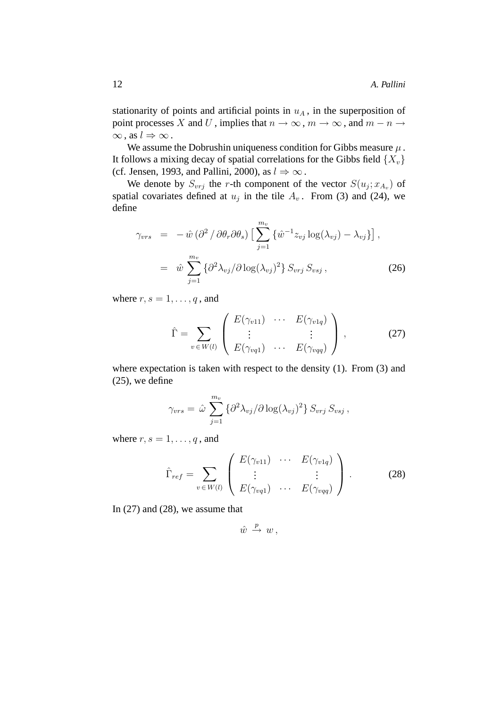stationarity of points and artificial points in  $u<sub>A</sub>$ , in the superposition of point processes X and U, implies that  $n \to \infty$ ,  $m \to \infty$ , and  $m - n \to \infty$  $\infty$ , as  $l \Rightarrow \infty$ .

We assume the Dobrushin uniqueness condition for Gibbs measure  $\mu$ . It follows a mixing decay of spatial correlations for the Gibbs field  $\{X_v\}$ (cf. Jensen, 1993, and Pallini, 2000), as  $l \Rightarrow \infty$ .

We denote by  $S_{v r j}$  the r-th component of the vector  $S(u_j; x_{A_v})$  of spatial covariates defined at  $u_j$  in the tile  $A_v$ . From (3) and (24), we define

$$
\gamma_{vrs} = -\hat{w} (\partial^2 / \partial \theta_r \partial \theta_s) \left[ \sum_{j=1}^{m_v} \{ \hat{w}^{-1} z_{vj} \log(\lambda_{vj}) - \lambda_{vj} \} \right],
$$
  

$$
= \hat{w} \sum_{j=1}^{m_v} \{ \partial^2 \lambda_{vj} / \partial \log(\lambda_{vj})^2 \} S_{vrg} S_{vsj},
$$
(26)

where  $r, s = 1, \ldots, q$ , and

$$
\hat{\Gamma} = \sum_{v \in W(l)} \begin{pmatrix} E(\gamma_{v11}) & \cdots & E(\gamma_{v1q}) \\ \vdots & & \vdots \\ E(\gamma_{vq1}) & \cdots & E(\gamma_{vqq}) \end{pmatrix}, \qquad (27)
$$

where expectation is taken with respect to the density (1). From (3) and (25), we define

$$
\gamma_{vrs} = \hat{\omega} \sum_{j=1}^{m_v} \{ \partial^2 \lambda_{vj} / \partial \log(\lambda_{vj})^2 \} S_{vrg} S_{vsj} ,
$$

where  $r, s = 1, \ldots, q$ , and

$$
\hat{\Gamma}_{ref} = \sum_{v \in W(l)} \begin{pmatrix} E(\gamma_{v11}) & \cdots & E(\gamma_{v1q}) \\ \vdots & & \vdots \\ E(\gamma_{vq1}) & \cdots & E(\gamma_{vqq}) \end{pmatrix} . \tag{28}
$$

In (27) and (28), we assume that

$$
\hat{w} \, \xrightarrow{p} \, w \, ,
$$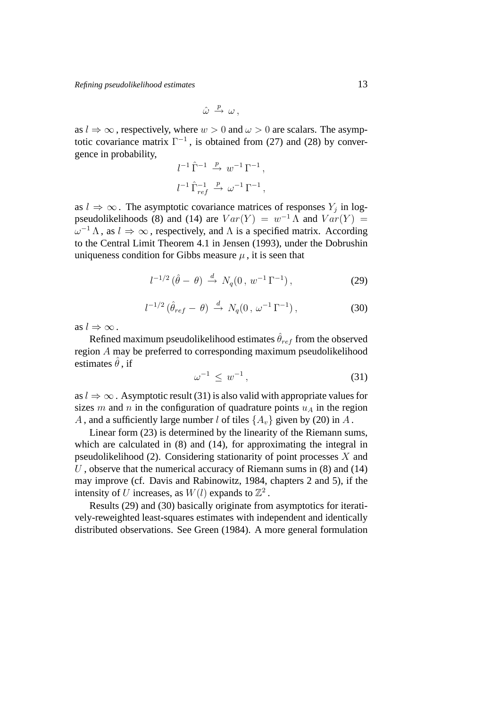$$
\hat{\omega} \stackrel{p}{\rightarrow} \omega ,
$$

as  $l \Rightarrow \infty$ , respectively, where  $w > 0$  and  $\omega > 0$  are scalars. The asymptotic covariance matrix  $\Gamma^{-1}$ , is obtained from (27) and (28) by convergence in probability,

$$
\begin{aligned}\n l^{-1}\, \widehat{\Gamma}^{-1} &\stackrel{p}{\rightarrow} \, w^{-1}\, \Gamma^{-1}\,, \\
l^{-1}\, \widehat{\Gamma}^{-1}_{\, ref} &\stackrel{p}{\rightarrow} \, \omega^{-1}\, \Gamma^{-1}\,,\n \end{aligned}
$$

as  $l \Rightarrow \infty$ . The asymptotic covariance matrices of responses  $Y_j$  in logpseudolikelihoods (8) and (14) are  $Var(Y) = w^{-1} \Lambda$  and  $Var(Y) =$  $\omega^{-1} \Lambda$ , as  $l \Rightarrow \infty$ , respectively, and  $\Lambda$  is a specified matrix. According to the Central Limit Theorem 4.1 in Jensen (1993), under the Dobrushin uniqueness condition for Gibbs measure  $\mu$ , it is seen that

$$
l^{-1/2} (\hat{\theta} - \theta) \stackrel{d}{\to} N_q(0, w^{-1} \Gamma^{-1}), \qquad (29)
$$

$$
l^{-1/2} \left( \hat{\theta}_{ref} - \theta \right) \stackrel{d}{\rightarrow} N_q(0, \omega^{-1} \Gamma^{-1}), \qquad (30)
$$

as  $l \Rightarrow \infty$ .

Refined maximum pseudolikelihood estimates  $\hat{\theta}_{ref}$  from the observed region A may be preferred to corresponding maximum pseudolikelihood estimates  $\ddot{\theta}$ , if

$$
\omega^{-1} \leq w^{-1}, \tag{31}
$$

as  $l \Rightarrow \infty$ . Asymptotic result (31) is also valid with appropriate values for sizes m and n in the configuration of quadrature points  $u_A$  in the region A, and a sufficiently large number l of tiles  $\{A_v\}$  given by (20) in A.

Linear form (23) is determined by the linearity of the Riemann sums, which are calculated in  $(8)$  and  $(14)$ , for approximating the integral in pseudolikelihood (2). Considering stationarity of point processes  $X$  and  $U$ , observe that the numerical accuracy of Riemann sums in  $(8)$  and  $(14)$ may improve (cf. Davis and Rabinowitz, 1984, chapters 2 and 5), if the intensity of U increases, as  $W(l)$  expands to  $\mathbb{Z}^2$ .

Results (29) and (30) basically originate from asymptotics for iteratively-reweighted least-squares estimates with independent and identically distributed observations. See Green (1984). A more general formulation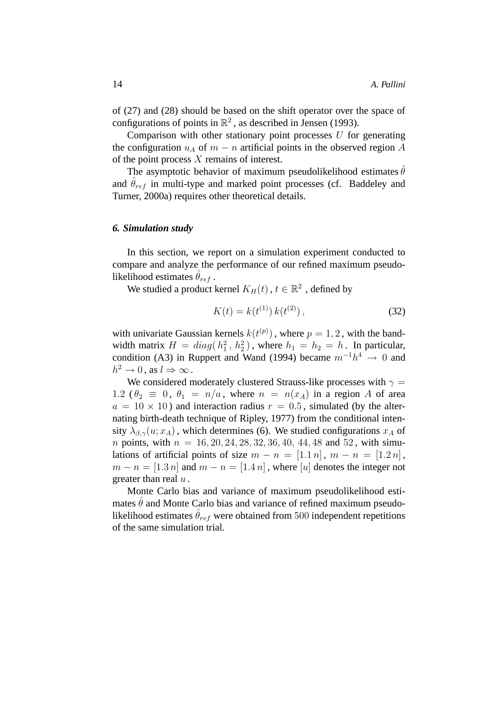of (27) and (28) should be based on the shift operator over the space of configurations of points in  $\mathbb{R}^2$ , as described in Jensen (1993).

Comparison with other stationary point processes  $U$  for generating the configuration  $u_A$  of  $m - n$  artificial points in the observed region A of the point process X remains of interest.

The asymptotic behavior of maximum pseudolikelihood estimates  $\hat{\theta}$ and  $\theta_{ref}$  in multi-type and marked point processes (cf. Baddeley and Turner, 2000a) requires other theoretical details.

## *6. Simulation study*

In this section, we report on a simulation experiment conducted to compare and analyze the performance of our refined maximum pseudolikelihood estimates  $\theta_{ref}$ .

We studied a product kernel  $K_H(t)$  ,  $t \in \mathbb{R}^2$  , defined by

$$
K(t) = k(t^{(1)}) k(t^{(2)}), \qquad (32)
$$

with univariate Gaussian kernels  $k(t^{(p)})$ , where  $p = 1, 2$ , with the bandwidth matrix  $H = diag(h_1^2, h_2^2)$ , where  $h_1 = h_2 = h$ . In particular, condition (A3) in Ruppert and Wand (1994) became  $m^{-1}h^4 \rightarrow 0$  and  $h^2 \to 0$ , as  $l \Rightarrow \infty$ .

We considered moderately clustered Strauss-like processes with  $\gamma =$ 1.2 ( $\theta_2 \equiv 0$ ,  $\theta_1 = n/a$ , where  $n = n(x_A)$  in a region A of area  $a = 10 \times 10$ ) and interaction radius  $r = 0.5$ , simulated (by the alternating birth-death technique of Ripley, 1977) from the conditional intensity  $\lambda_{\beta,\gamma}(u; x_A)$ , which determines (6). We studied configurations  $x_A$  of *n* points, with  $n = 16, 20, 24, 28, 32, 36, 40, 44, 48$  and 52, with simulations of artificial points of size  $m - n = [1.1 n]$ ,  $m - n = [1.2 n]$ ,  $m - n = [1.3 n]$  and  $m - n = [1.4 n]$ , where [u] denotes the integer not greater than real  $u$ .

Monte Carlo bias and variance of maximum pseudolikelihood estimates  $\hat{\theta}$  and Monte Carlo bias and variance of refined maximum pseudolikelihood estimates  $\hat{\theta}_{ref}$  were obtained from 500 independent repetitions of the same simulation trial.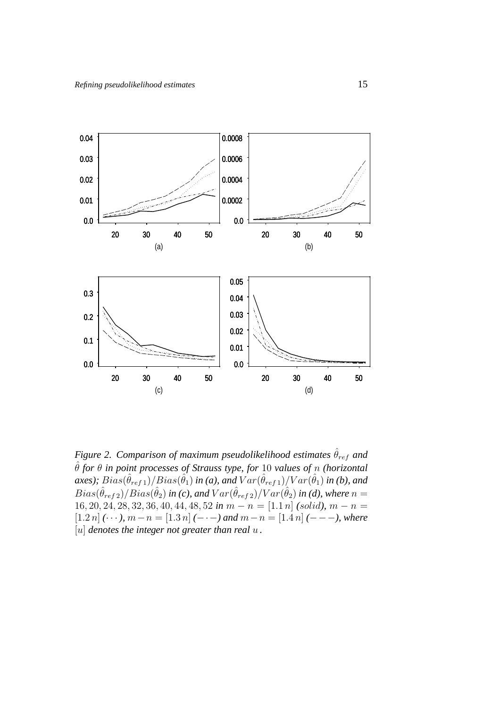

*Figure 2. Comparison of maximum pseudolikelihood estimates*  $\hat{\theta}_{ref}$  *and* ˆθ *for* θ *in point processes of Strauss type, for* 10 *values of* n *(horizontal*  ${axes});~Bias(\hat{\theta}_{ref\ 1})/Bias(\hat{\theta}_{1})$  in (a), and  $Var(\hat{\theta}_{ref\ 1})/Var(\hat{\theta}_{1})$  in (b), and  $Bias(\hat{\theta}_{ref\,2})/Bias(\hat{\theta}_2)$  in (c), and  $Var(\hat{\theta}_{ref\,2})/Var(\hat{\theta}_2)$  in (d), where  $n=$ 16, 20, 24, 28, 32, 36, 40, 44, 48, 52 *in*  $m - n = [1.1 n]$  *(solid),*  $m - n =$  $[1.2 n]$   $(\cdots)$ ,  $m - n = [1.3 n]$   $(- \cdots)$  and  $m - n = [1.4 n]$   $(- - -)$ , where [u] *denotes the integer not greater than real* u *.*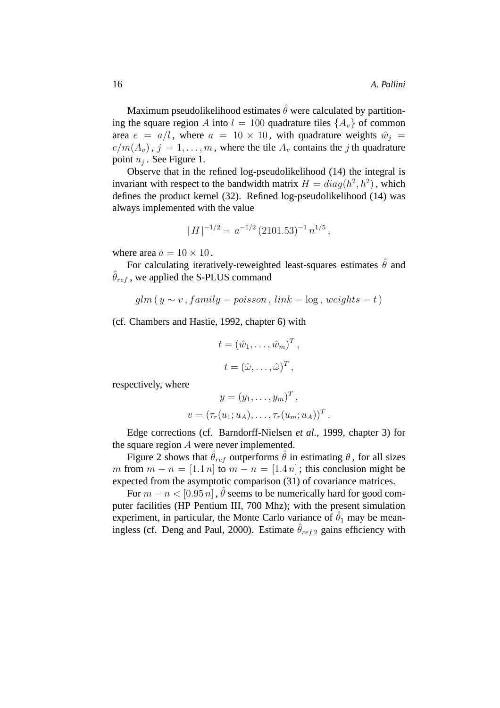Maximum pseudolikelihood estimates  $\hat{\theta}$  were calculated by partitioning the square region A into  $l = 100$  quadrature tiles  $\{A_v\}$  of common area  $e = a/l$ , where  $a = 10 \times 10$ , with quadrature weights  $\hat{w}_i =$  $e/m(A_v)$ ,  $j = 1, \ldots, m$ , where the tile  $A_v$  contains the j th quadrature point  $u_j$ . See Figure 1.

Observe that in the refined log-pseudolikelihood (14) the integral is invariant with respect to the bandwidth matrix  $H = diag(h^2, h^2)$ , which defines the product kernel (32). Refined log-pseudolikelihood (14) was always implemented with the value

$$
|H|^{-1/2} = a^{-1/2} (2101.53)^{-1} n^{1/5},
$$

where area  $a = 10 \times 10$ .

For calculating iteratively-reweighted least-squares estimates  $\hat{\theta}$  and  $\hat{\theta}_{ref}$ , we applied the S-PLUS command

$$
glm(y \sim v, family = poisson, link = log, weights = t)
$$

(cf. Chambers and Hastie, 1992, chapter 6) with

$$
t = (\hat{w}_1, \dots, \hat{w}_m)^T,
$$
  

$$
t = (\hat{\omega}, \dots, \hat{\omega})^T,
$$

respectively, where

$$
y = (y_1, \dots, y_m)^T,
$$
  

$$
v = (\tau_r(u_1; u_A), \dots, \tau_r(u_m; u_A))^T.
$$

Edge corrections (cf. Barndorff-Nielsen *et al*., 1999, chapter 3) for the square region A were never implemented.

Figure 2 shows that  $\hat{\theta}_{ref}$  outperforms  $\hat{\theta}$  in estimating  $\theta$ , for all sizes m from  $m - n = [1.1 n]$  to  $m - n = [1.4 n]$ ; this conclusion might be expected from the asymptotic comparison (31) of covariance matrices.

For  $m - n < [0.95 n]$ ,  $\hat{\theta}$  seems to be numerically hard for good computer facilities (HP Pentium III, 700 Mhz); with the present simulation experiment, in particular, the Monte Carlo variance of  $\hat{\theta}_1$  may be meaningless (cf. Deng and Paul, 2000). Estimate  $\hat{\theta}_{ref2}$  gains efficiency with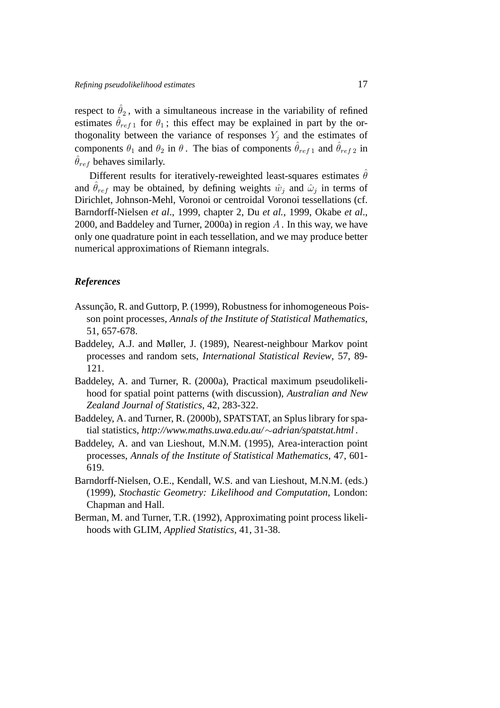respect to  $\hat{\theta}_2$ , with a simultaneous increase in the variability of refined estimates  $\hat{\theta}_{ref1}$  for  $\theta_1$ ; this effect may be explained in part by the orthogonality between the variance of responses  $Y_i$  and the estimates of components  $\theta_1$  and  $\theta_2$  in  $\theta$ . The bias of components  $\hat{\theta}_{ref1}$  and  $\hat{\theta}_{ref2}$  in  $\hat{\theta}_{ref}$  behaves similarly.

Different results for iteratively-reweighted least-squares estimates  $\hat{\theta}$ and  $\hat{\theta}_{ref}$  may be obtained, by defining weights  $\hat{w}_j$  and  $\hat{\omega}_j$  in terms of Dirichlet, Johnson-Mehl, Voronoi or centroidal Voronoi tessellations (cf. Barndorff-Nielsen *et al*., 1999, chapter 2, Du *et al.*, 1999, Okabe *et al*., 2000, and Baddeley and Turner, 2000a) in region  $A$ . In this way, we have only one quadrature point in each tessellation, and we may produce better numerical approximations of Riemann integrals.

## *References*

- Assunção, R. and Guttorp, P. (1999), Robustness for inhomogeneous Poisson point processes, *Annals of the Institute of Statistical Mathematics*, 51, 657-678.
- Baddeley, A.J. and Møller, J. (1989), Nearest-neighbour Markov point processes and random sets, *International Statistical Review*, 57, 89- 121.
- Baddeley, A. and Turner, R. (2000a), Practical maximum pseudolikelihood for spatial point patterns (with discussion), *Australian and New Zealand Journal of Statistics*, 42, 283-322.
- Baddeley, A. and Turner, R. (2000b), SPATSTAT, an Splus library for spatial statistics, *http://www.maths.uwa.edu.au/*∼*adrian/spatstat.html* .
- Baddeley, A. and van Lieshout, M.N.M. (1995), Area-interaction point processes, *Annals of the Institute of Statistical Mathematics*, 47, 601- 619.
- Barndorff-Nielsen, O.E., Kendall, W.S. and van Lieshout, M.N.M. (eds.) (1999), *Stochastic Geometry: Likelihood and Computation*, London: Chapman and Hall.
- Berman, M. and Turner, T.R. (1992), Approximating point process likelihoods with GLIM, *Applied Statistics*, 41, 31-38.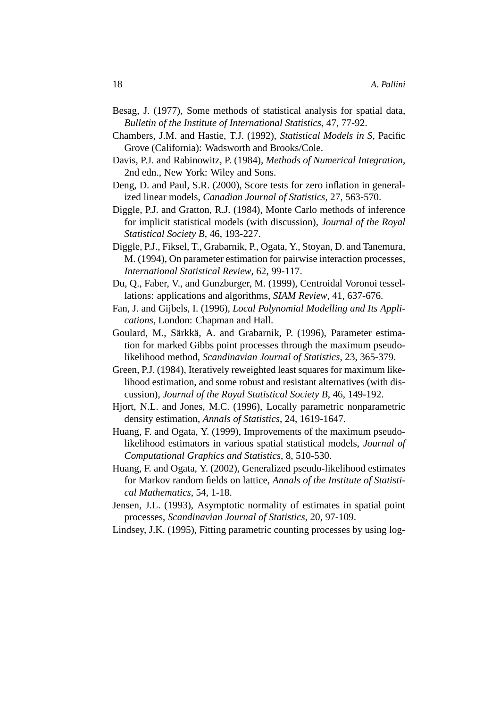- Besag, J. (1977), Some methods of statistical analysis for spatial data, *Bulletin of the Institute of International Statistics*, 47, 77-92.
- Chambers, J.M. and Hastie, T.J. (1992), *Statistical Models in S*, Pacific Grove (California): Wadsworth and Brooks/Cole.
- Davis, P.J. and Rabinowitz, P. (1984), *Methods of Numerical Integration*, 2nd edn., New York: Wiley and Sons.
- Deng, D. and Paul, S.R. (2000), Score tests for zero inflation in generalized linear models, *Canadian Journal of Statistics*, 27, 563-570.
- Diggle, P.J. and Gratton, R.J. (1984), Monte Carlo methods of inference for implicit statistical models (with discussion), *Journal of the Royal Statistical Society B*, 46, 193-227.
- Diggle, P.J., Fiksel, T., Grabarnik, P., Ogata, Y., Stoyan, D. and Tanemura, M. (1994), On parameter estimation for pairwise interaction processes, *International Statistical Review*, 62, 99-117.
- Du, Q., Faber, V., and Gunzburger, M. (1999), Centroidal Voronoi tessellations: applications and algorithms, *SIAM Review*, 41, 637-676.
- Fan, J. and Gijbels, I. (1996), *Local Polynomial Modelling and Its Applications*, London: Chapman and Hall.
- Goulard, M., Särkkä, A. and Grabarnik, P. (1996), Parameter estimation for marked Gibbs point processes through the maximum pseudolikelihood method, *Scandinavian Journal of Statistics*, 23, 365-379.
- Green, P.J. (1984), Iteratively reweighted least squares for maximum likelihood estimation, and some robust and resistant alternatives (with discussion), *Journal of the Royal Statistical Society B*, 46, 149-192.
- Hjort, N.L. and Jones, M.C. (1996), Locally parametric nonparametric density estimation, *Annals of Statistics*, 24, 1619-1647.
- Huang, F. and Ogata, Y. (1999), Improvements of the maximum pseudolikelihood estimators in various spatial statistical models, *Journal of Computational Graphics and Statistics*, 8, 510-530.
- Huang, F. and Ogata, Y. (2002), Generalized pseudo-likelihood estimates for Markov random fields on lattice, *Annals of the Institute of Statistical Mathematics*, 54, 1-18.
- Jensen, J.L. (1993), Asymptotic normality of estimates in spatial point processes, *Scandinavian Journal of Statistics*, 20, 97-109.
- Lindsey, J.K. (1995), Fitting parametric counting processes by using log-